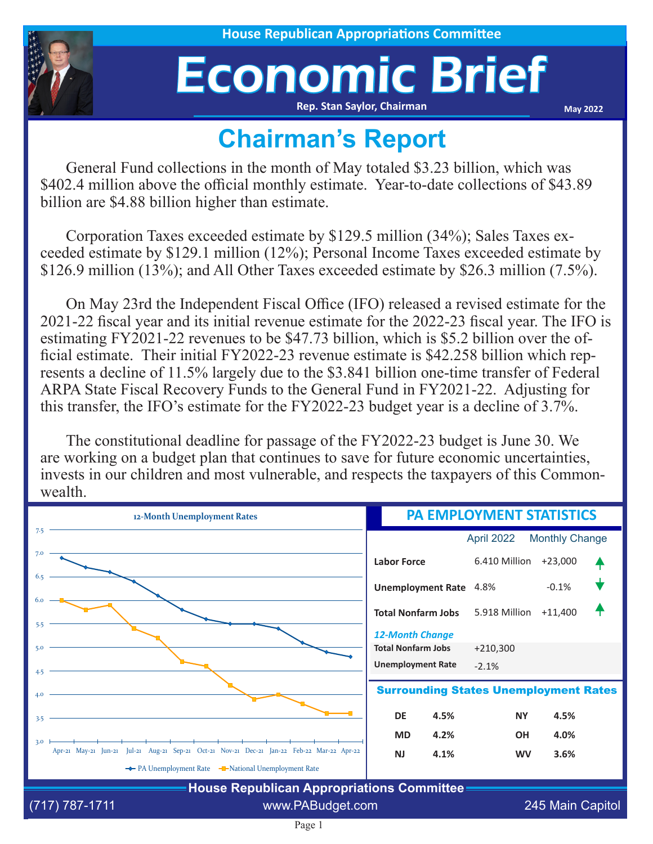

## Economic Brief **Rep. Stan Saylor, Chairman**

**May 2022**

## **Chairman's Report**

General Fund collections in the month of May totaled \$3.23 billion, which was \$402.4 million above the official monthly estimate. Year-to-date collections of \$43.89 billion are \$4.88 billion higher than estimate.

Corporation Taxes exceeded estimate by \$129.5 million (34%); Sales Taxes exceeded estimate by \$129.1 million (12%); Personal Income Taxes exceeded estimate by \$126.9 million (13%); and All Other Taxes exceeded estimate by \$26.3 million (7.5%).

On May 23rd the Independent Fiscal Office (IFO) released a revised estimate for the 2021-22 fiscal year and its initial revenue estimate for the 2022-23 fiscal year. The IFO is estimating FY2021-22 revenues to be \$47.73 billion, which is \$5.2 billion over the official estimate. Their initial FY2022-23 revenue estimate is \$42.258 billion which represents a decline of 11.5% largely due to the \$3.841 billion one-time transfer of Federal ARPA State Fiscal Recovery Funds to the General Fund in FY2021-22. Adjusting for this transfer, the IFO's estimate for the FY2022-23 budget year is a decline of 3.7%.

The constitutional deadline for passage of the FY2022-23 budget is June 30. We are working on a budget plan that continues to save for future economic uncertainties, invests in our children and most vulnerable, and respects the taxpayers of this Commonwealth.

| 12-Month Unemployment Rates                                                                       | <b>PA EMPLOYMENT STATISTICS</b>              |               |                       |  |
|---------------------------------------------------------------------------------------------------|----------------------------------------------|---------------|-----------------------|--|
| 7.5                                                                                               |                                              | April 2022    | <b>Monthly Change</b> |  |
| 7.0                                                                                               | <b>Labor Force</b>                           | 6.410 Million | $+23,000$             |  |
| 6.5<br>6.0                                                                                        | <b>Unemployment Rate</b>                     | 4.8%          | $-0.1%$               |  |
| 5.5                                                                                               | <b>Total Nonfarm Jobs</b>                    | 5.918 Million | $+11,400$             |  |
|                                                                                                   | <b>12-Month Change</b>                       |               |                       |  |
| 5.0                                                                                               | <b>Total Nonfarm Jobs</b>                    | $+210,300$    |                       |  |
| 4.5                                                                                               | <b>Unemployment Rate</b>                     | $-2.1%$       |                       |  |
| 4.0                                                                                               | <b>Surrounding States Unemployment Rates</b> |               |                       |  |
| 3.5                                                                                               | <b>DE</b><br>4.5%                            | <b>NY</b>     | 4.5%                  |  |
| 3.0                                                                                               | <b>MD</b><br>4.2%                            | <b>OH</b>     | 4.0%                  |  |
| Apr-21 May-21 Jun-21 Jul-21 Aug-21 Sep-21 Oct-21 Nov-21 Dec-21 Jan-22 Feb-22 Mar-22 Apr-22        | <b>NJ</b><br>4.1%                            | <b>WV</b>     | 3.6%                  |  |
| ← PA Unemployment Rate – National Unemployment Rate<br>House Republican Appropriations Committee- |                                              |               |                       |  |

**House Republican Appropriations Committee** (717) 787-1711 www.PABudget.com 245 Main Capitol